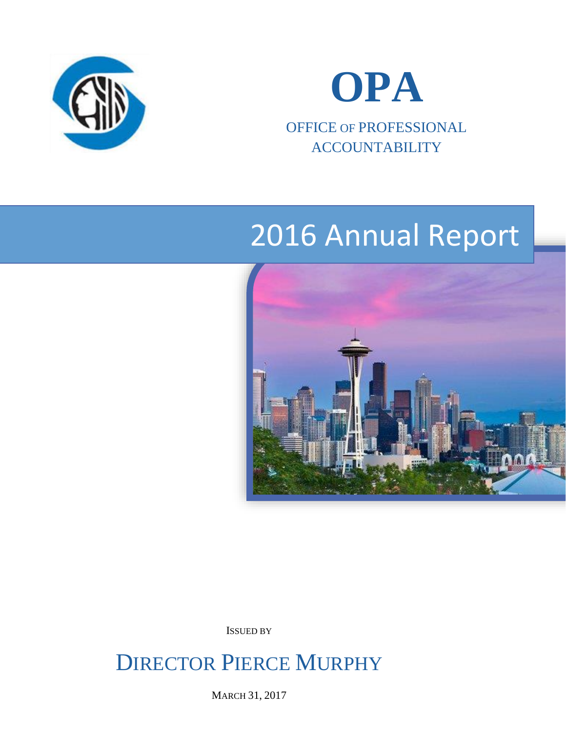



OFFICE OF PROFESSIONAL ACCOUNTABILITY

# 2016 Annual Report



ISSUED BY

DIRECTOR PIERCE MURPHY

MARCH 31, 2017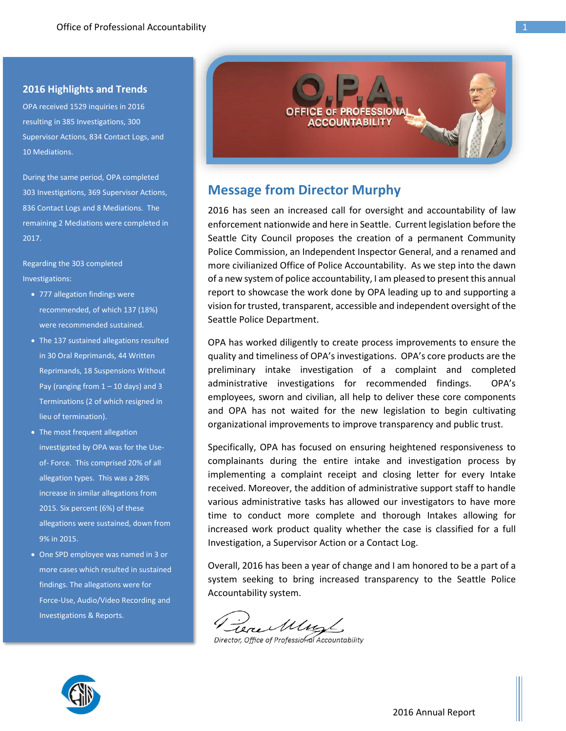#### **2016 Highlights and Trends**

OPA received 1529 inquiries in 2016 resulting in 385 Investigations, 300 Supervisor Actions, 834 Contact Logs, and 10 Mediations.

During the same period, OPA completed 303 Investigations, 369 Supervisor Actions, 836 Contact Logs and 8 Mediations. The remaining 2 Mediations were completed in 2017.

Regarding the 303 completed Investigations:

- 777 allegation findings were recommended, of which 137 (18%) were recommended sustained.
- The 137 sustained allegations resulted in 30 Oral Reprimands, 44 Written Reprimands, 18 Suspensions Without Pay (ranging from  $1 - 10$  days) and 3 Terminations (2 of which resigned in lieu of termination).
- The most frequent allegation investigated by OPA was for the Useof- Force. This comprised 20% of all allegation types. This was a 28% increase in similar allegations from 2015. Six percent (6%) of these allegations were sustained, down from 9% in 2015.
- One SPD employee was named in 3 or more cases which resulted in sustained findings. The allegations were for Force-Use, Audio/Video Recording and Investigations & Reports.



# **Message from Director Murphy**

2016 has seen an increased call for oversight and accountability of law enforcement nationwide and here in Seattle. Current legislation before the Seattle City Council proposes the creation of a permanent Community Police Commission, an Independent Inspector General, and a renamed and more civilianized Office of Police Accountability. As we step into the dawn of a new system of police accountability, I am pleased to present this annual report to showcase the work done by OPA leading up to and supporting a vision for trusted, transparent, accessible and independent oversight of the Seattle Police Department.

OPA has worked diligently to create process improvements to ensure the quality and timeliness of OPA's investigations. OPA's core products are the preliminary intake investigation of a complaint and completed administrative investigations for recommended findings. OPA's employees, sworn and civilian, all help to deliver these core components and OPA has not waited for the new legislation to begin cultivating organizational improvements to improve transparency and public trust.

Specifically, OPA has focused on ensuring heightened responsiveness to complainants during the entire intake and investigation process by implementing a complaint receipt and closing letter for every Intake received. Moreover, the addition of administrative support staff to handle various administrative tasks has allowed our investigators to have more time to conduct more complete and thorough Intakes allowing for increased work product quality whether the case is classified for a full Investigation, a Supervisor Action or a Contact Log.

Overall, 2016 has been a year of change and I am honored to be a part of a system seeking to bring increased transparency to the Seattle Police Accountability system.

Vere Muz

Director, Office of Professional Accountability

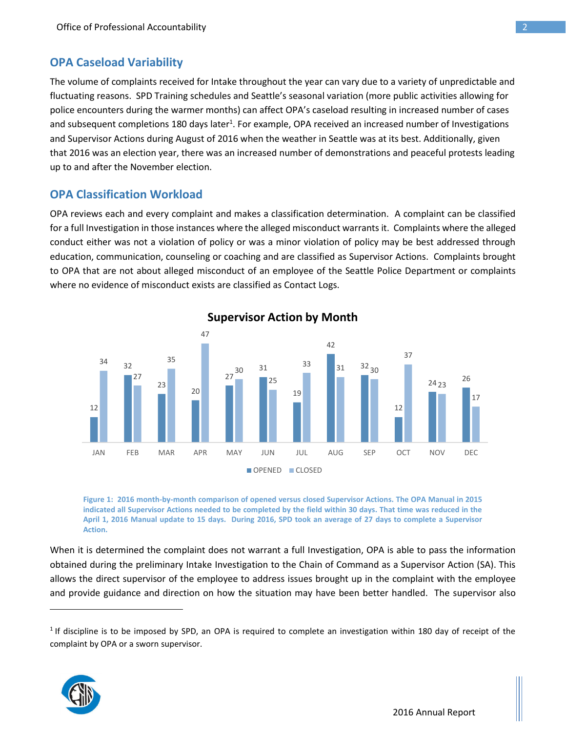## **OPA Caseload Variability**

The volume of complaints received for Intake throughout the year can vary due to a variety of unpredictable and fluctuating reasons. SPD Training schedules and Seattle's seasonal variation (more public activities allowing for police encounters during the warmer months) can affect OPA's caseload resulting in increased number of cases and subsequent completions 180 days later<sup>1</sup>. For example, OPA received an increased number of Investigations and Supervisor Actions during August of 2016 when the weather in Seattle was at its best. Additionally, given that 2016 was an election year, there was an increased number of demonstrations and peaceful protests leading up to and after the November election.

## **OPA Classification Workload**

OPA reviews each and every complaint and makes a classification determination. A complaint can be classified for a full Investigation in those instances where the alleged misconduct warrants it. Complaints where the alleged conduct either was not a violation of policy or was a minor violation of policy may be best addressed through education, communication, counseling or coaching and are classified as Supervisor Actions. Complaints brought to OPA that are not about alleged misconduct of an employee of the Seattle Police Department or complaints where no evidence of misconduct exists are classified as Contact Logs.



**Supervisor Action by Month**

**Figure 1: 2016 month-by-month comparison of opened versus closed Supervisor Actions. The OPA Manual in 2015 indicated all Supervisor Actions needed to be completed by the field within 30 days. That time was reduced in the April 1, 2016 Manual update to 15 days. During 2016, SPD took an average of 27 days to complete a Supervisor Action.**

When it is determined the complaint does not warrant a full Investigation, OPA is able to pass the information obtained during the preliminary Intake Investigation to the Chain of Command as a Supervisor Action (SA). This allows the direct supervisor of the employee to address issues brought up in the complaint with the employee and provide guidance and direction on how the situation may have been better handled. The supervisor also

 $1$  If discipline is to be imposed by SPD, an OPA is required to complete an investigation within 180 day of receipt of the complaint by OPA or a sworn supervisor.



 $\overline{a}$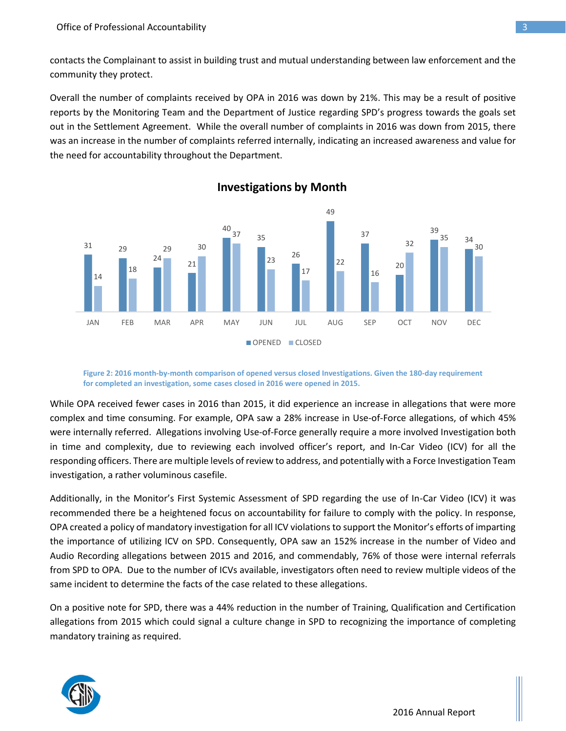contacts the Complainant to assist in building trust and mutual understanding between law enforcement and the community they protect.

Overall the number of complaints received by OPA in 2016 was down by 21%. This may be a result of positive reports by the Monitoring Team and the Department of Justice regarding SPD's progress towards the goals set out in the Settlement Agreement. While the overall number of complaints in 2016 was down from 2015, there was an increase in the number of complaints referred internally, indicating an increased awareness and value for the need for accountability throughout the Department.



**Investigations by Month**

**Figure 2: 2016 month-by-month comparison of opened versus closed Investigations. Given the 180-day requirement for completed an investigation, some cases closed in 2016 were opened in 2015.**

While OPA received fewer cases in 2016 than 2015, it did experience an increase in allegations that were more complex and time consuming. For example, OPA saw a 28% increase in Use-of-Force allegations, of which 45% were internally referred. Allegations involving Use-of-Force generally require a more involved Investigation both in time and complexity, due to reviewing each involved officer's report, and In-Car Video (ICV) for all the responding officers. There are multiple levels of review to address, and potentially with a Force Investigation Team investigation, a rather voluminous casefile.

Additionally, in the Monitor's First Systemic Assessment of SPD regarding the use of In-Car Video (ICV) it was recommended there be a heightened focus on accountability for failure to comply with the policy. In response, OPA created a policy of mandatory investigation for all ICV violations to support the Monitor's efforts of imparting the importance of utilizing ICV on SPD. Consequently, OPA saw an 152% increase in the number of Video and Audio Recording allegations between 2015 and 2016, and commendably, 76% of those were internal referrals from SPD to OPA. Due to the number of ICVs available, investigators often need to review multiple videos of the same incident to determine the facts of the case related to these allegations.

On a positive note for SPD, there was a 44% reduction in the number of Training, Qualification and Certification allegations from 2015 which could signal a culture change in SPD to recognizing the importance of completing mandatory training as required.



2016 Annual Report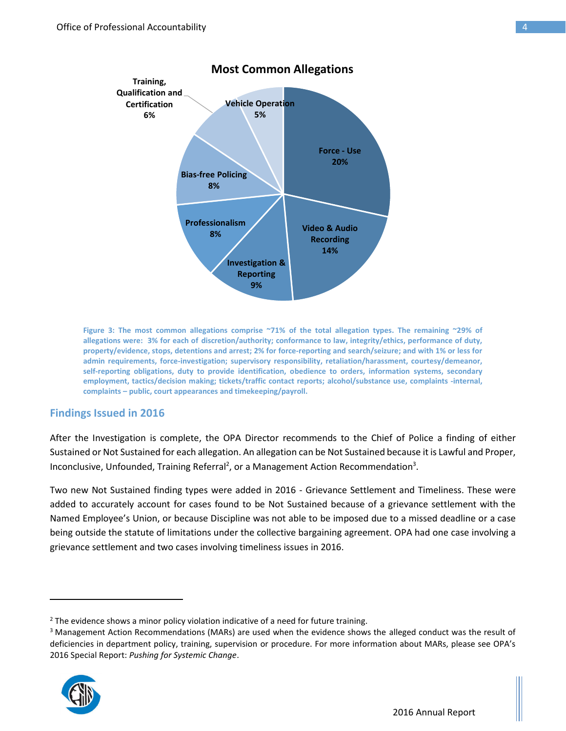

**Figure 3: The most common allegations comprise ~71% of the total allegation types. The remaining ~29% of allegations were: 3% for each of discretion/authority; conformance to law, integrity/ethics, performance of duty, property/evidence, stops, detentions and arrest; 2% for force-reporting and search/seizure; and with 1% or less for admin requirements, force-investigation; supervisory responsibility, retaliation/harassment, courtesy/demeanor, self-reporting obligations, duty to provide identification, obedience to orders, information systems, secondary employment, tactics/decision making; tickets/traffic contact reports; alcohol/substance use, complaints -internal, complaints – public, court appearances and timekeeping/payroll.**

#### **Findings Issued in 2016**

After the Investigation is complete, the OPA Director recommends to the Chief of Police a finding of either Sustained or Not Sustained for each allegation. An allegation can be Not Sustained because it is Lawful and Proper, Inconclusive, Unfounded, Training Referral<sup>2</sup>, or a Management Action Recommendation<sup>3</sup>.

Two new Not Sustained finding types were added in 2016 - Grievance Settlement and Timeliness. These were added to accurately account for cases found to be Not Sustained because of a grievance settlement with the Named Employee's Union, or because Discipline was not able to be imposed due to a missed deadline or a case being outside the statute of limitations under the collective bargaining agreement. OPA had one case involving a grievance settlement and two cases involving timeliness issues in 2016.

<sup>&</sup>lt;sup>3</sup> Management Action Recommendations (MARs) are used when the evidence shows the alleged conduct was the result of deficiencies in department policy, training, supervision or procedure. For more information about MARs, please see OPA's 2016 Special Report: *Pushing for Systemic Change*.



 $\overline{\phantom{a}}$ 

<sup>&</sup>lt;sup>2</sup> The evidence shows a minor policy violation indicative of a need for future training.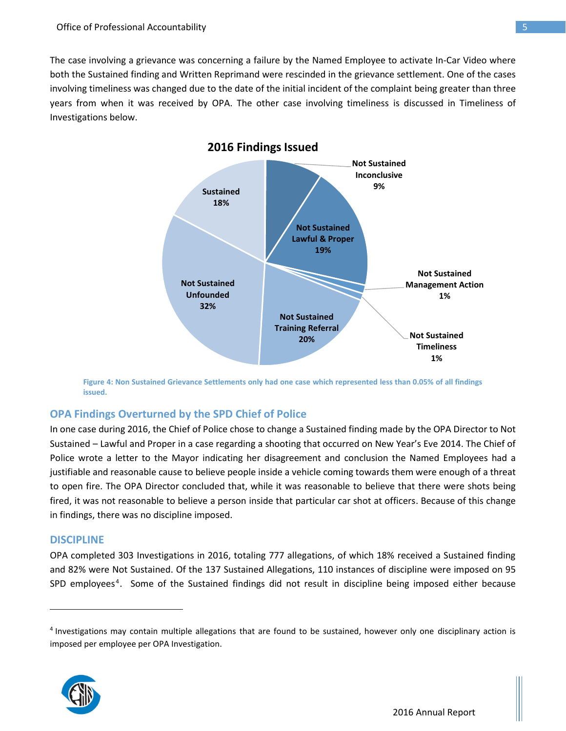The case involving a grievance was concerning a failure by the Named Employee to activate In-Car Video where both the Sustained finding and Written Reprimand were rescinded in the grievance settlement. One of the cases involving timeliness was changed due to the date of the initial incident of the complaint being greater than three years from when it was received by OPA. The other case involving timeliness is discussed in Timeliness of Investigations below.



**Figure 4: Non Sustained Grievance Settlements only had one case which represented less than 0.05% of all findings issued.** 

#### **OPA Findings Overturned by the SPD Chief of Police**

In one case during 2016, the Chief of Police chose to change a Sustained finding made by the OPA Director to Not Sustained – Lawful and Proper in a case regarding a shooting that occurred on New Year's Eve 2014. The Chief of Police wrote a letter to the Mayor indicating her disagreement and conclusion the Named Employees had a justifiable and reasonable cause to believe people inside a vehicle coming towards them were enough of a threat to open fire. The OPA Director concluded that, while it was reasonable to believe that there were shots being fired, it was not reasonable to believe a person inside that particular car shot at officers. Because of this change in findings, there was no discipline imposed.

#### **DISCIPLINE**

 $\overline{a}$ 

OPA completed 303 Investigations in 2016, totaling 777 allegations, of which 18% received a Sustained finding and 82% were Not Sustained. Of the 137 Sustained Allegations, 110 instances of discipline were imposed on 95 SPD employees<sup>4</sup>. Some of the Sustained findings did not result in discipline being imposed either because

<sup>&</sup>lt;sup>4</sup> Investigations may contain multiple allegations that are found to be sustained, however only one disciplinary action is imposed per employee per OPA Investigation.

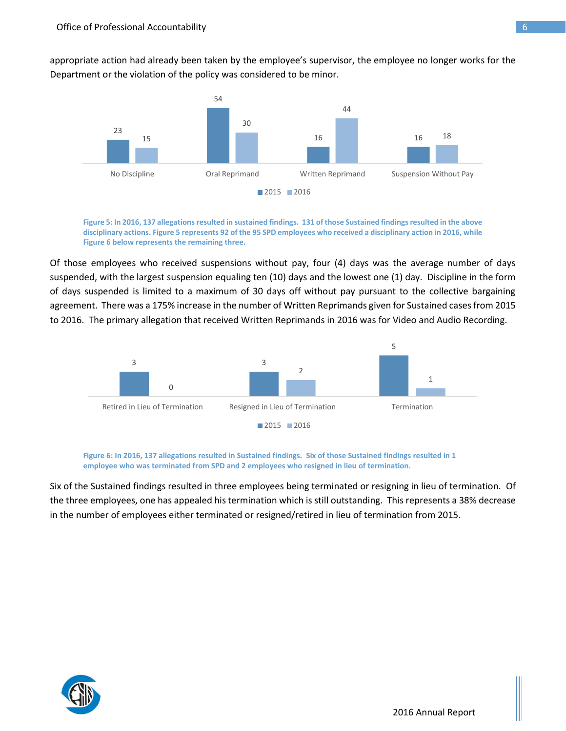appropriate action had already been taken by the employee's supervisor, the employee no longer works for the Department or the violation of the policy was considered to be minor.



**Figure 5: In 2016, 137 allegations resulted in sustained findings. 131 of those Sustained findings resulted in the above disciplinary actions. Figure 5 represents 92 of the 95 SPD employees who received a disciplinary action in 2016, while Figure 6 below represents the remaining three.** 

Of those employees who received suspensions without pay, four (4) days was the average number of days suspended, with the largest suspension equaling ten (10) days and the lowest one (1) day. Discipline in the form of days suspended is limited to a maximum of 30 days off without pay pursuant to the collective bargaining agreement. There was a 175% increase in the number of Written Reprimands given for Sustained cases from 2015 to 2016. The primary allegation that received Written Reprimands in 2016 was for Video and Audio Recording.



**Figure 6: In 2016, 137 allegations resulted in Sustained findings. Six of those Sustained findings resulted in 1 employee who was terminated from SPD and 2 employees who resigned in lieu of termination.** 

Six of the Sustained findings resulted in three employees being terminated or resigning in lieu of termination. Of the three employees, one has appealed his termination which is still outstanding. This represents a 38% decrease in the number of employees either terminated or resigned/retired in lieu of termination from 2015.

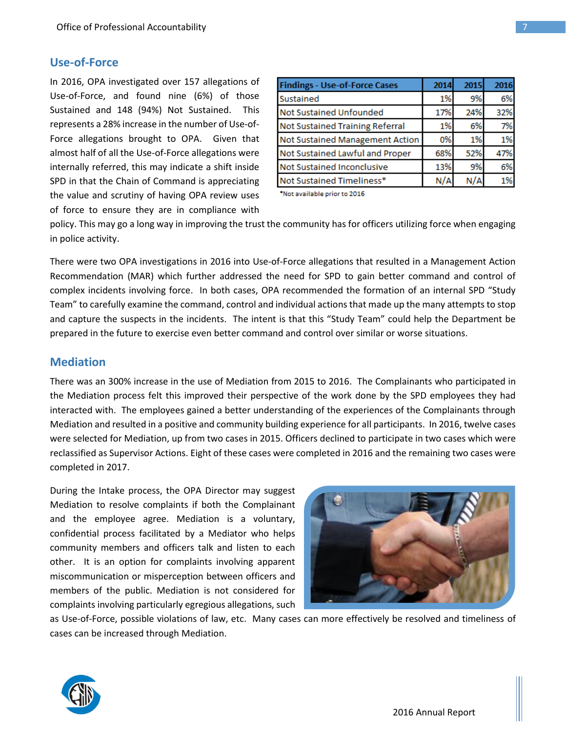## **Use-of-Force**

In 2016, OPA investigated over 157 allegations of Use-of-Force, and found nine (6%) of those Sustained and 148 (94%) Not Sustained. This represents a 28% increase in the number of Use-of-Force allegations brought to OPA. Given that almost half of all the Use-of-Force allegations were internally referred, this may indicate a shift inside SPD in that the Chain of Command is appreciating the value and scrutiny of having OPA review uses of force to ensure they are in compliance with

| <b>Findings - Use-of-Force Cases</b> | 2014  | 2015 | 2016 |
|--------------------------------------|-------|------|------|
| Sustained                            | 1%    | 9%   | 6%   |
| Not Sustained Unfounded              | 17%   | 24%  | 32%  |
| Not Sustained Training Referral      | $1\%$ | 6%   | 7%   |
| Not Sustained Management Action      | 0%    | 1%   | 1%   |
| Not Sustained Lawful and Proper      | 68%   | 52%  | 47%  |
| Not Sustained Inconclusive           | 13%   | 9%   | 6%   |
| Not Sustained Timeliness*            | N/A   |      | 1%   |

\*Not available prior to 2016

policy. This may go a long way in improving the trust the community has for officers utilizing force when engaging in police activity.

There were two OPA investigations in 2016 into Use-of-Force allegations that resulted in a Management Action Recommendation (MAR) which further addressed the need for SPD to gain better command and control of complex incidents involving force. In both cases, OPA recommended the formation of an internal SPD "Study Team" to carefully examine the command, control and individual actions that made up the many attempts to stop and capture the suspects in the incidents. The intent is that this "Study Team" could help the Department be prepared in the future to exercise even better command and control over similar or worse situations.

#### **Mediation**

There was an 300% increase in the use of Mediation from 2015 to 2016. The Complainants who participated in the Mediation process felt this improved their perspective of the work done by the SPD employees they had interacted with. The employees gained a better understanding of the experiences of the Complainants through Mediation and resulted in a positive and community building experience for all participants. In 2016, twelve cases were selected for Mediation, up from two cases in 2015. Officers declined to participate in two cases which were reclassified as Supervisor Actions. Eight of these cases were completed in 2016 and the remaining two cases were completed in 2017.

During the Intake process, the OPA Director may suggest Mediation to resolve complaints if both the Complainant and the employee agree. Mediation is a voluntary, confidential process facilitated by a Mediator who helps community members and officers talk and listen to each other. It is an option for complaints involving apparent miscommunication or misperception between officers and members of the public. Mediation is not considered for complaints involving particularly egregious allegations, such



as Use-of-Force, possible violations of law, etc. Many cases can more effectively be resolved and timeliness of cases can be increased through Mediation.

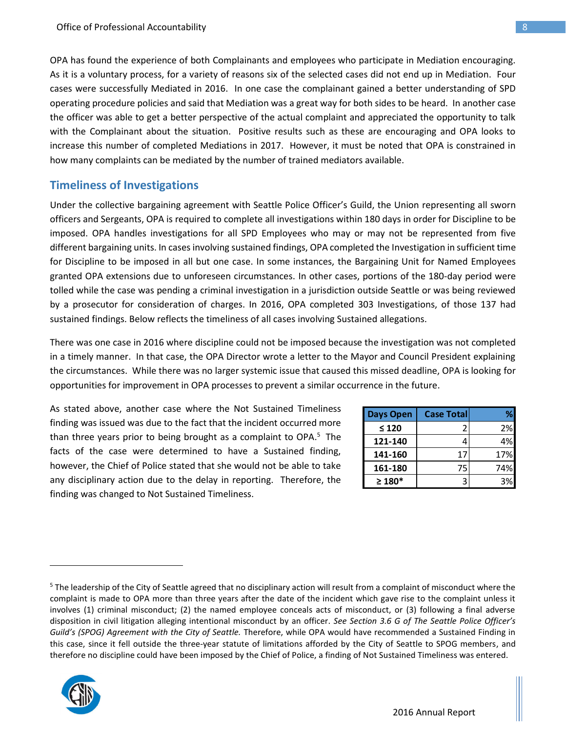OPA has found the experience of both Complainants and employees who participate in Mediation encouraging. As it is a voluntary process, for a variety of reasons six of the selected cases did not end up in Mediation. Four cases were successfully Mediated in 2016. In one case the complainant gained a better understanding of SPD operating procedure policies and said that Mediation was a great way for both sides to be heard. In another case the officer was able to get a better perspective of the actual complaint and appreciated the opportunity to talk with the Complainant about the situation. Positive results such as these are encouraging and OPA looks to increase this number of completed Mediations in 2017. However, it must be noted that OPA is constrained in how many complaints can be mediated by the number of trained mediators available.

#### **Timeliness of Investigations**

Under the collective bargaining agreement with Seattle Police Officer's Guild, the Union representing all sworn officers and Sergeants, OPA is required to complete all investigations within 180 days in order for Discipline to be imposed. OPA handles investigations for all SPD Employees who may or may not be represented from five different bargaining units. In cases involving sustained findings, OPA completed the Investigation in sufficient time for Discipline to be imposed in all but one case. In some instances, the Bargaining Unit for Named Employees granted OPA extensions due to unforeseen circumstances. In other cases, portions of the 180-day period were tolled while the case was pending a criminal investigation in a jurisdiction outside Seattle or was being reviewed by a prosecutor for consideration of charges. In 2016, OPA completed 303 Investigations, of those 137 had sustained findings. Below reflects the timeliness of all cases involving Sustained allegations.

There was one case in 2016 where discipline could not be imposed because the investigation was not completed in a timely manner. In that case, the OPA Director wrote a letter to the Mayor and Council President explaining the circumstances. While there was no larger systemic issue that caused this missed deadline, OPA is looking for opportunities for improvement in OPA processes to prevent a similar occurrence in the future.

As stated above, another case where the Not Sustained Timeliness finding was issued was due to the fact that the incident occurred more than three years prior to being brought as a complaint to OPA.<sup>5</sup> The facts of the case were determined to have a Sustained finding, however, the Chief of Police stated that she would not be able to take any disciplinary action due to the delay in reporting. Therefore, the finding was changed to Not Sustained Timeliness.

| Days Open   | <b>Case Total</b> |     |
|-------------|-------------------|-----|
| $\leq 120$  | 2                 | 2%  |
| 121-140     | 4                 | 4%  |
| 141-160     | 17                | 17% |
| 161-180     | 75                | 74% |
| $\geq 180*$ | ੨                 | 3%  |

<sup>&</sup>lt;sup>5</sup> The leadership of the City of Seattle agreed that no disciplinary action will result from a complaint of misconduct where the complaint is made to OPA more than three years after the date of the incident which gave rise to the complaint unless it involves (1) criminal misconduct; (2) the named employee conceals acts of misconduct, or (3) following a final adverse disposition in civil litigation alleging intentional misconduct by an officer. *See Section 3.6 G of The Seattle Police Officer's Guild's (SPOG) Agreement with the City of Seattle.* Therefore, while OPA would have recommended a Sustained Finding in this case, since it fell outside the three-year statute of limitations afforded by the City of Seattle to SPOG members, and therefore no discipline could have been imposed by the Chief of Police, a finding of Not Sustained Timeliness was entered.



 $\overline{\phantom{a}}$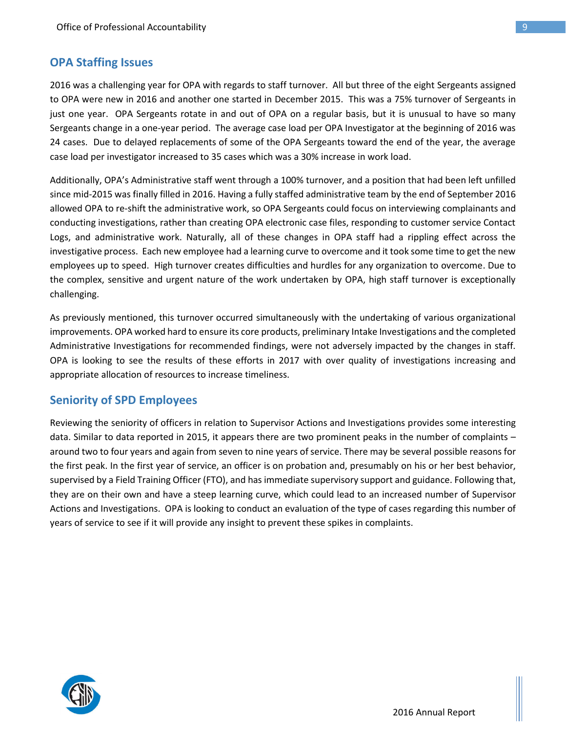## **OPA Staffing Issues**

2016 was a challenging year for OPA with regards to staff turnover. All but three of the eight Sergeants assigned to OPA were new in 2016 and another one started in December 2015. This was a 75% turnover of Sergeants in just one year. OPA Sergeants rotate in and out of OPA on a regular basis, but it is unusual to have so many Sergeants change in a one-year period. The average case load per OPA Investigator at the beginning of 2016 was 24 cases. Due to delayed replacements of some of the OPA Sergeants toward the end of the year, the average case load per investigator increased to 35 cases which was a 30% increase in work load.

Additionally, OPA's Administrative staff went through a 100% turnover, and a position that had been left unfilled since mid-2015 was finally filled in 2016. Having a fully staffed administrative team by the end of September 2016 allowed OPA to re-shift the administrative work, so OPA Sergeants could focus on interviewing complainants and conducting investigations, rather than creating OPA electronic case files, responding to customer service Contact Logs, and administrative work. Naturally, all of these changes in OPA staff had a rippling effect across the investigative process. Each new employee had a learning curve to overcome and it took some time to get the new employees up to speed. High turnover creates difficulties and hurdles for any organization to overcome. Due to the complex, sensitive and urgent nature of the work undertaken by OPA, high staff turnover is exceptionally challenging.

As previously mentioned, this turnover occurred simultaneously with the undertaking of various organizational improvements. OPA worked hard to ensure its core products, preliminary Intake Investigations and the completed Administrative Investigations for recommended findings, were not adversely impacted by the changes in staff. OPA is looking to see the results of these efforts in 2017 with over quality of investigations increasing and appropriate allocation of resources to increase timeliness.

### **Seniority of SPD Employees**

Reviewing the seniority of officers in relation to Supervisor Actions and Investigations provides some interesting data. Similar to data reported in 2015, it appears there are two prominent peaks in the number of complaints – around two to four years and again from seven to nine years of service. There may be several possible reasons for the first peak. In the first year of service, an officer is on probation and, presumably on his or her best behavior, supervised by a Field Training Officer (FTO), and has immediate supervisory support and guidance. Following that, they are on their own and have a steep learning curve, which could lead to an increased number of Supervisor Actions and Investigations. OPA is looking to conduct an evaluation of the type of cases regarding this number of years of service to see if it will provide any insight to prevent these spikes in complaints.

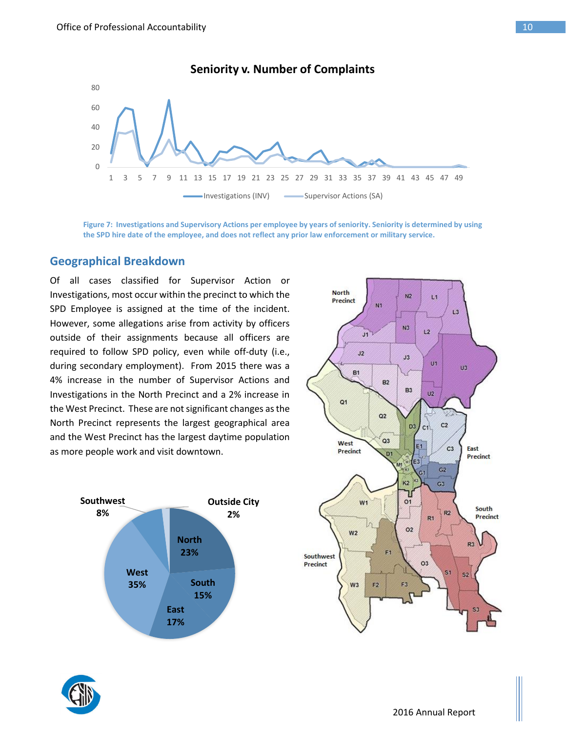

# **Seniority v. Number of Complaints**

**Figure 7: Investigations and Supervisory Actions per employee by years of seniority. Seniority is determined by using the SPD hire date of the employee, and does not reflect any prior law enforcement or military service.**

#### **Geographical Breakdown**

Of all cases classified for Supervisor Action or Investigations, most occur within the precinct to which the SPD Employee is assigned at the time of the incident. However, some allegations arise from activity by officers outside of their assignments because all officers are required to follow SPD policy, even while off-duty (i.e., during secondary employment). From 2015 there was a 4% increase in the number of Supervisor Actions and Investigations in the North Precinct and a 2% increase in the West Precinct. These are not significant changes as the North Precinct represents the largest geographical area and the West Precinct has the largest daytime population as more people work and visit downtown.





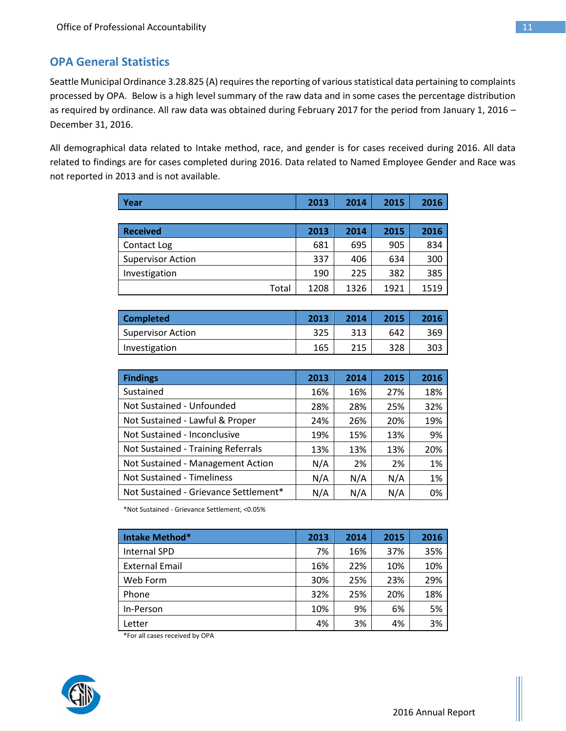# **OPA General Statistics**

Seattle Municipal Ordinance 3.28.825 (A) requires the reporting of various statistical data pertaining to complaints processed by OPA. Below is a high level summary of the raw data and in some cases the percentage distribution as required by ordinance. All raw data was obtained during February 2017 for the period from January 1, 2016 – December 31, 2016.

All demographical data related to Intake method, race, and gender is for cases received during 2016. All data related to findings are for cases completed during 2016. Data related to Named Employee Gender and Race was not reported in 2013 and is not available.

| Year                     | 2013 | 2014 | 2015 | 2016 |
|--------------------------|------|------|------|------|
|                          |      |      |      |      |
| <b>Received</b>          | 2013 | 2014 | 2015 | 2016 |
| Contact Log              | 681  | 695  | 905  | 834  |
| <b>Supervisor Action</b> | 337  | 406  | 634  | 300  |
| Investigation            | 190  | 225  | 382  | 385  |
| Total                    | 1208 | 1326 | 1921 | 1519 |

| <b>Completed</b>  | 2013 | 2014 | 2015 | 2016 |
|-------------------|------|------|------|------|
| Supervisor Action | 325  | 313  | 642  | 369  |
| Investigation     | 165  | 215  | 328  | 303  |

| <b>Findings</b>                       | 2013 | 2014 | 2015 | 2016 |
|---------------------------------------|------|------|------|------|
| Sustained                             | 16%  | 16%  | 27%  | 18%  |
| Not Sustained - Unfounded             | 28%  | 28%  | 25%  | 32%  |
| Not Sustained - Lawful & Proper       | 24%  | 26%  | 20%  | 19%  |
| Not Sustained - Inconclusive          | 19%  | 15%  | 13%  | 9%   |
| Not Sustained - Training Referrals    | 13%  | 13%  | 13%  | 20%  |
| Not Sustained - Management Action     | N/A  | 2%   | 2%   | 1%   |
| <b>Not Sustained - Timeliness</b>     | N/A  | N/A  | N/A  | 1%   |
| Not Sustained - Grievance Settlement* | N/A  | N/A  | N/A  | 0%   |

\*Not Sustained - Grievance Settlement, <0.05%

| Intake Method*        | 2013 | 2014 | 2015 | 2016 |
|-----------------------|------|------|------|------|
| <b>Internal SPD</b>   | 7%   | 16%  | 37%  | 35%  |
| <b>External Email</b> | 16%  | 22%  | 10%  | 10%  |
| Web Form              | 30%  | 25%  | 23%  | 29%  |
| Phone                 | 32%  | 25%  | 20%  | 18%  |
| In-Person             | 10%  | 9%   | 6%   | 5%   |
| Letter                | 4%   | 3%   | 4%   | 3%   |

\*For all cases received by OPA

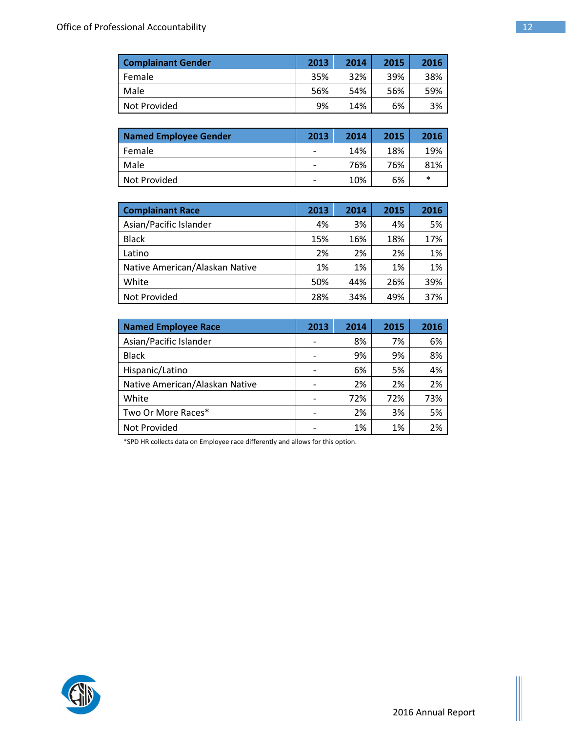| <b>Complainant Gender</b> | 2013 | 2014 | 2015 | 2016 |
|---------------------------|------|------|------|------|
| Female                    | 35%  | 32%  | 39%  | 38%  |
| Male                      | 56%  | 54%  | 56%  | 59%  |
| Not Provided              | 9%   | 14%  | 6%   | 3%   |

| Named Employee Gender | 2013                     | 2014 | 2015 | 2016 |
|-----------------------|--------------------------|------|------|------|
| Female                | $\qquad \qquad$          | 14%  | 18%  | 19%  |
| Male                  | $\overline{\phantom{a}}$ | 76%  | 76%  | 81%  |
| Not Provided          | $\overline{\phantom{a}}$ | 10%  | 6%   | ∗    |

| <b>Complainant Race</b>        | 2013 | 2014 | 2015 | 2016 |
|--------------------------------|------|------|------|------|
| Asian/Pacific Islander         | 4%   | 3%   | 4%   | 5%   |
| <b>Black</b>                   | 15%  | 16%  | 18%  | 17%  |
| Latino                         | 2%   | 2%   | 2%   | 1%   |
| Native American/Alaskan Native | 1%   | 1%   | 1%   | 1%   |
| White                          | 50%  | 44%  | 26%  | 39%  |
| Not Provided                   | 28%  | 34%  | 49%  | 37%  |

| <b>Named Employee Race</b>     | 2013 | 2014 | 2015 | 2016 |
|--------------------------------|------|------|------|------|
| Asian/Pacific Islander         |      | 8%   | 7%   | 6%   |
| <b>Black</b>                   |      | 9%   | 9%   | 8%   |
| Hispanic/Latino                |      | 6%   | 5%   | 4%   |
| Native American/Alaskan Native |      | 2%   | 2%   | 2%   |
| White                          |      | 72%  | 72%  | 73%  |
| Two Or More Races*             |      | 2%   | 3%   | 5%   |
| Not Provided                   |      | 1%   | 1%   | 2%   |

\*SPD HR collects data on Employee race differently and allows for this option.



Ш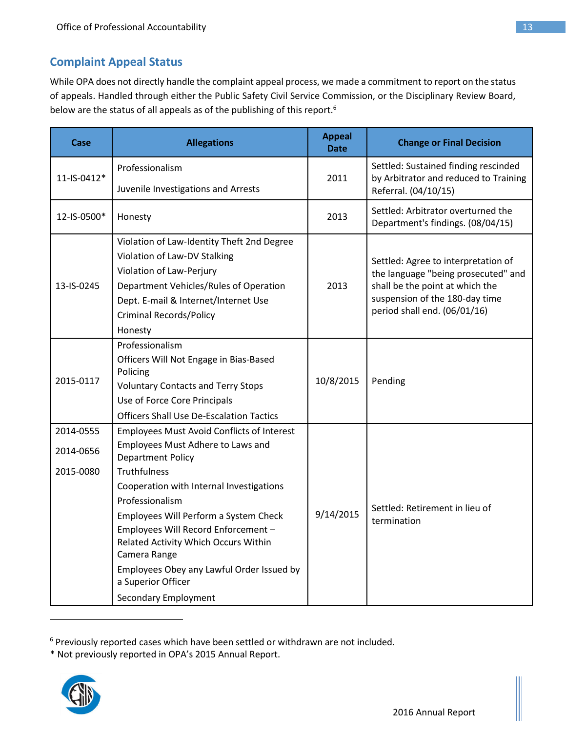# **Complaint Appeal Status**

While OPA does not directly handle the complaint appeal process, we made a commitment to report on the status of appeals. Handled through either the Public Safety Civil Service Commission, or the Disciplinary Review Board, below are the status of all appeals as of the publishing of this report.<sup>6</sup>

| Case        | <b>Allegations</b>                                                                                                                                                                                                                                                                                    | <b>Appeal</b><br><b>Date</b> | <b>Change or Final Decision</b>                                                                                                                                                 |
|-------------|-------------------------------------------------------------------------------------------------------------------------------------------------------------------------------------------------------------------------------------------------------------------------------------------------------|------------------------------|---------------------------------------------------------------------------------------------------------------------------------------------------------------------------------|
|             | Professionalism                                                                                                                                                                                                                                                                                       |                              | Settled: Sustained finding rescinded                                                                                                                                            |
| 11-IS-0412* | Juvenile Investigations and Arrests                                                                                                                                                                                                                                                                   | 2011                         | by Arbitrator and reduced to Training<br>Referral. (04/10/15)                                                                                                                   |
| 12-IS-0500* | Honesty                                                                                                                                                                                                                                                                                               | 2013                         | Settled: Arbitrator overturned the<br>Department's findings. (08/04/15)                                                                                                         |
| 13-IS-0245  | Violation of Law-Identity Theft 2nd Degree<br>Violation of Law-DV Stalking<br>Violation of Law-Perjury<br>Department Vehicles/Rules of Operation<br>Dept. E-mail & Internet/Internet Use<br><b>Criminal Records/Policy</b><br>Honesty                                                                 | 2013                         | Settled: Agree to interpretation of<br>the language "being prosecuted" and<br>shall be the point at which the<br>suspension of the 180-day time<br>period shall end. (06/01/16) |
| 2015-0117   | Professionalism<br>Officers Will Not Engage in Bias-Based<br>Policing<br><b>Voluntary Contacts and Terry Stops</b><br>Use of Force Core Principals<br><b>Officers Shall Use De-Escalation Tactics</b>                                                                                                 | 10/8/2015                    | Pending                                                                                                                                                                         |
| 2014-0555   | Employees Must Avoid Conflicts of Interest                                                                                                                                                                                                                                                            |                              |                                                                                                                                                                                 |
| 2014-0656   | Employees Must Adhere to Laws and<br><b>Department Policy</b>                                                                                                                                                                                                                                         |                              |                                                                                                                                                                                 |
| 2015-0080   | <b>Truthfulness</b>                                                                                                                                                                                                                                                                                   |                              |                                                                                                                                                                                 |
|             | Cooperation with Internal Investigations<br>Professionalism<br>Employees Will Perform a System Check<br>Employees Will Record Enforcement -<br>Related Activity Which Occurs Within<br>Camera Range<br>Employees Obey any Lawful Order Issued by<br>a Superior Officer<br><b>Secondary Employment</b> | 9/14/2015                    | Settled: Retirement in lieu of<br>termination                                                                                                                                   |

<sup>&</sup>lt;sup>6</sup> Previously reported cases which have been settled or withdrawn are not included.

<sup>\*</sup> Not previously reported in OPA's 2015 Annual Report.



 $\overline{a}$